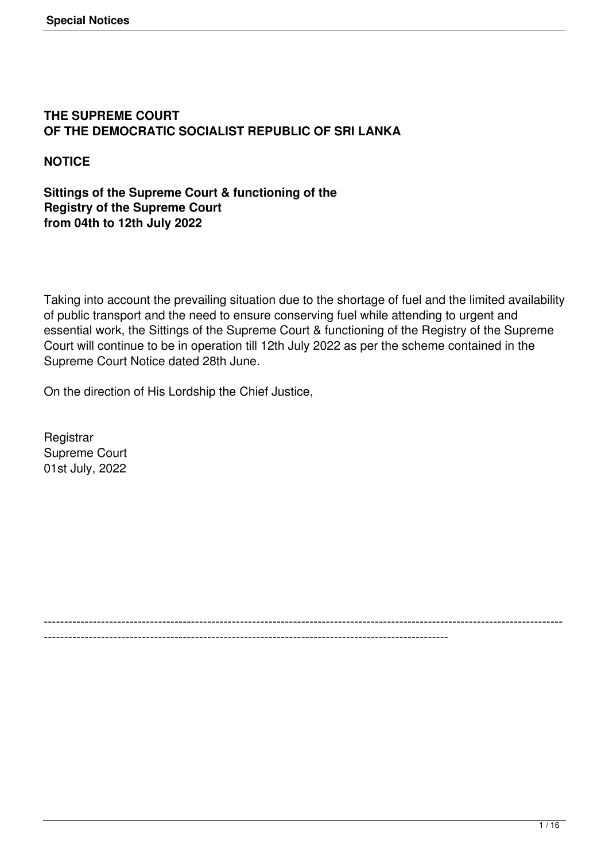### **THE SUPREME COURT OF THE DEMOCRATIC SOCIALIST REPUBLIC OF SRI LANKA**

**NOTICE**

**Sittings of the Supreme Court & functioning of the Registry of the Supreme Court from 04th to 12th July 2022**

Taking into account the prevailing situation due to the shortage of fuel and the limited availability of public transport and the need to ensure conserving fuel while attending to urgent and essential work, the Sittings of the Supreme Court & functioning of the Registry of the Supreme Court will continue to be in operation till 12th July 2022 as per the scheme contained in the Supreme Court Notice dated 28th June.

On the direction of His Lordship the Chief Justice,

**Registrar** Supreme Court 01st July, 2022

------------------------------------------------------------------------------------------------------------------------------- ---------------------------------------------------------------------------------------------------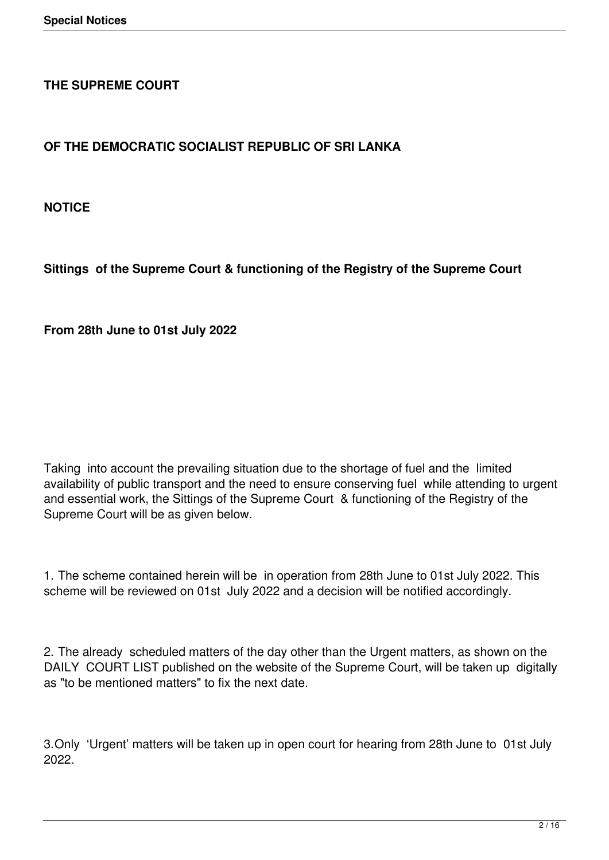### **THE SUPREME COURT**

# **OF THE DEMOCRATIC SOCIALIST REPUBLIC OF SRI LANKA**

**NOTICE**

**Sittings of the Supreme Court & functioning of the Registry of the Supreme Court** 

**From 28th June to 01st July 2022**

Taking into account the prevailing situation due to the shortage of fuel and the limited availability of public transport and the need to ensure conserving fuel while attending to urgent and essential work, the Sittings of the Supreme Court & functioning of the Registry of the Supreme Court will be as given below.

1. The scheme contained herein will be in operation from 28th June to 01st July 2022. This scheme will be reviewed on 01st July 2022 and a decision will be notified accordingly.

2. The already scheduled matters of the day other than the Urgent matters, as shown on the DAILY COURT LIST published on the website of the Supreme Court, will be taken up digitally as "to be mentioned matters" to fix the next date.

3.Only 'Urgent' matters will be taken up in open court for hearing from 28th June to 01st July 2022.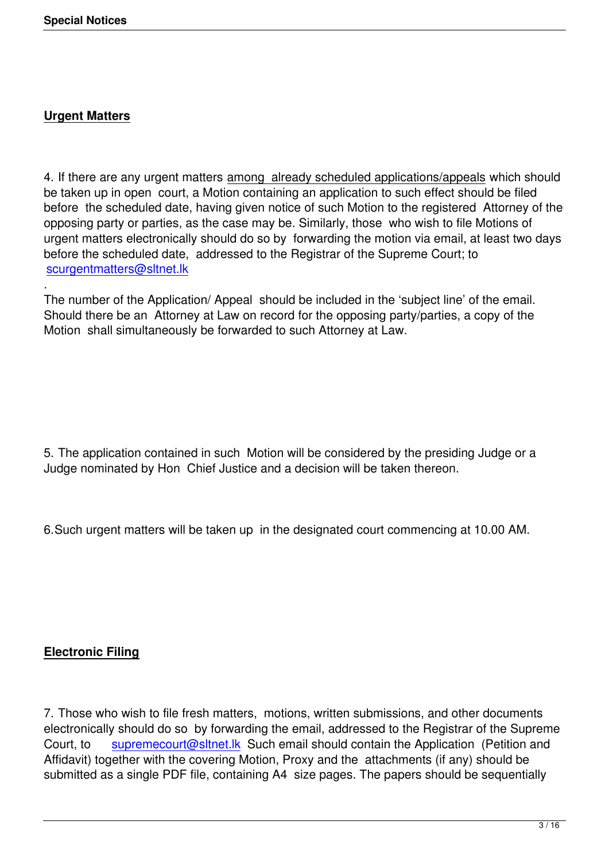### **Urgent Matters**

4. If there are any urgent matters among already scheduled applications/appeals which should be taken up in open court, a Motion containing an application to such effect should be filed before the scheduled date, having given notice of such Motion to the registered Attorney of the opposing party or parties, as the case may be. Similarly, those who wish to file Motions of urgent matters electronically should do so by forwarding the motion via email, at least two days before the scheduled date, addressed to the Registrar of the Supreme Court; to scurgentmatters@sltnet.lk

. The number of the Application/ Appeal should be included in the 'subject line' of the email. [Should there be an Attorne](mailto:scurgentmatters@sltnet.lk)y at Law on record for the opposing party/parties, a copy of the Motion shall simultaneously be forwarded to such Attorney at Law.

5. The application contained in such Motion will be considered by the presiding Judge or a Judge nominated by Hon Chief Justice and a decision will be taken thereon.

6.Such urgent matters will be taken up in the designated court commencing at 10.00 AM.

### **Electronic Filing**

7. Those who wish to file fresh matters, motions, written submissions, and other documents electronically should do so by forwarding the email, addressed to the Registrar of the Supreme Court, to supremecourt@sltnet.lk Such email should contain the Application (Petition and Affidavit) together with the covering Motion, Proxy and the attachments (if any) should be submitted as a single PDF file, containing A4 size pages. The papers should be sequentially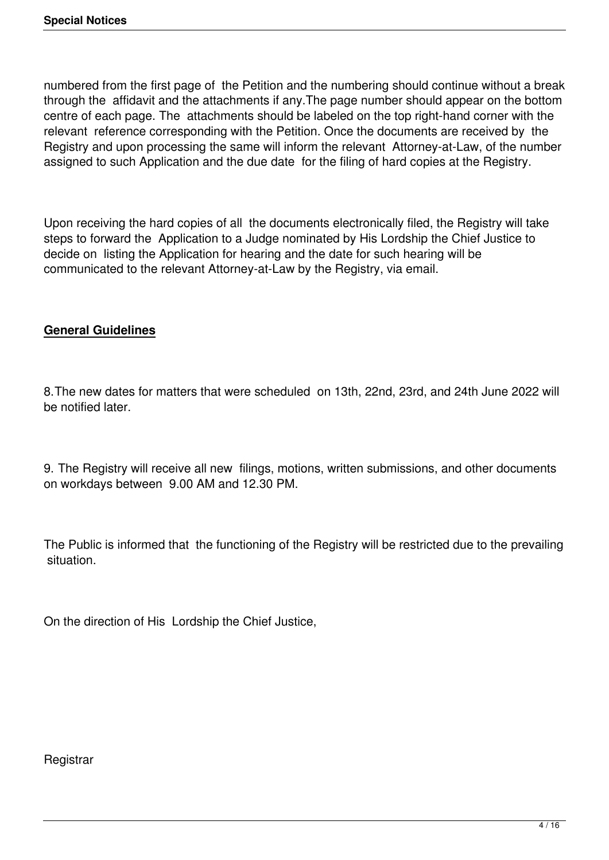numbered from the first page of the Petition and the numbering should continue without a break through the affidavit and the attachments if any.The page number should appear on the bottom centre of each page. The attachments should be labeled on the top right-hand corner with the relevant reference corresponding with the Petition. Once the documents are received by the Registry and upon processing the same will inform the relevant Attorney-at-Law, of the number assigned to such Application and the due date for the filing of hard copies at the Registry.

Upon receiving the hard copies of all the documents electronically filed, the Registry will take steps to forward the Application to a Judge nominated by His Lordship the Chief Justice to decide on listing the Application for hearing and the date for such hearing will be communicated to the relevant Attorney-at-Law by the Registry, via email.

## **General Guidelines**

8.The new dates for matters that were scheduled on 13th, 22nd, 23rd, and 24th June 2022 will be notified later.

9. The Registry will receive all new filings, motions, written submissions, and other documents on workdays between 9.00 AM and 12.30 PM.

The Public is informed that the functioning of the Registry will be restricted due to the prevailing situation.

On the direction of His Lordship the Chief Justice,

#### **Registrar**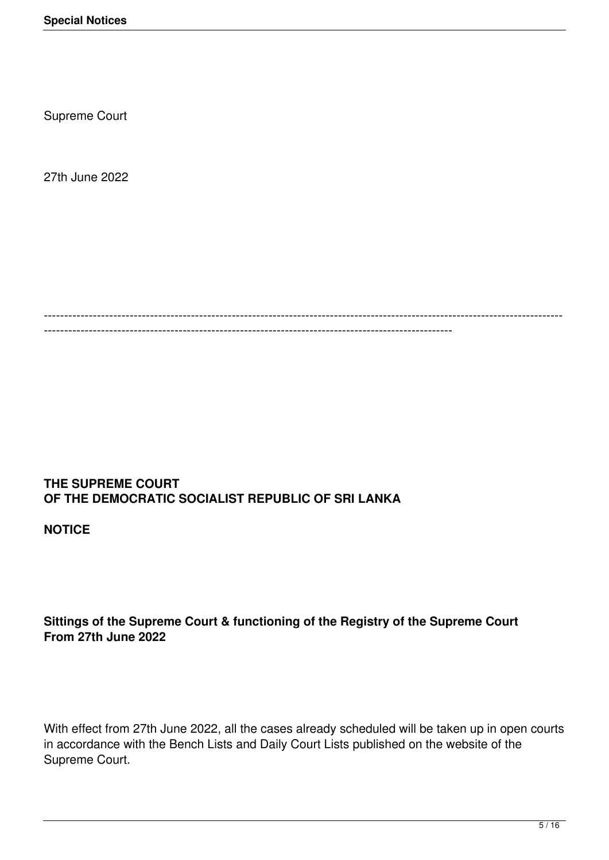Supreme Court

27th June 2022

------------------------------------------------------------------------------------------------------------------------------- ----------------------------------------------------------------------------------------------------

#### **THE SUPREME COURT OF THE DEMOCRATIC SOCIALIST REPUBLIC OF SRI LANKA**

**NOTICE**

### **Sittings of the Supreme Court & functioning of the Registry of the Supreme Court From 27th June 2022**

With effect from 27th June 2022, all the cases already scheduled will be taken up in open courts in accordance with the Bench Lists and Daily Court Lists published on the website of the Supreme Court.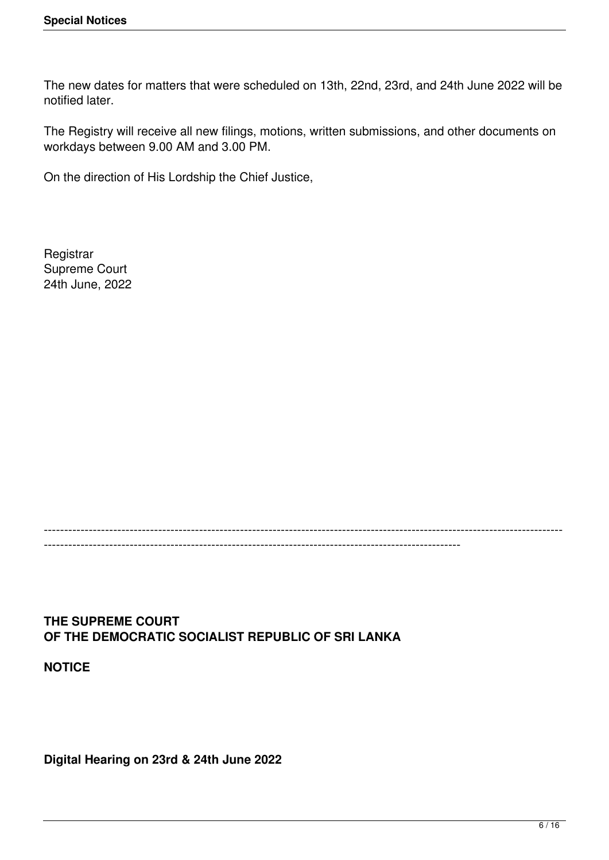The new dates for matters that were scheduled on 13th, 22nd, 23rd, and 24th June 2022 will be notified later.

The Registry will receive all new filings, motions, written submissions, and other documents on workdays between 9.00 AM and 3.00 PM.

On the direction of His Lordship the Chief Justice,

**Registrar** Supreme Court 24th June, 2022

#### ------------------------------------------------------------------------------------------------------------------------------- ------------------------------------------------------------------------------------------------------

**THE SUPREME COURT OF THE DEMOCRATIC SOCIALIST REPUBLIC OF SRI LANKA**

**NOTICE**

**Digital Hearing on 23rd & 24th June 2022**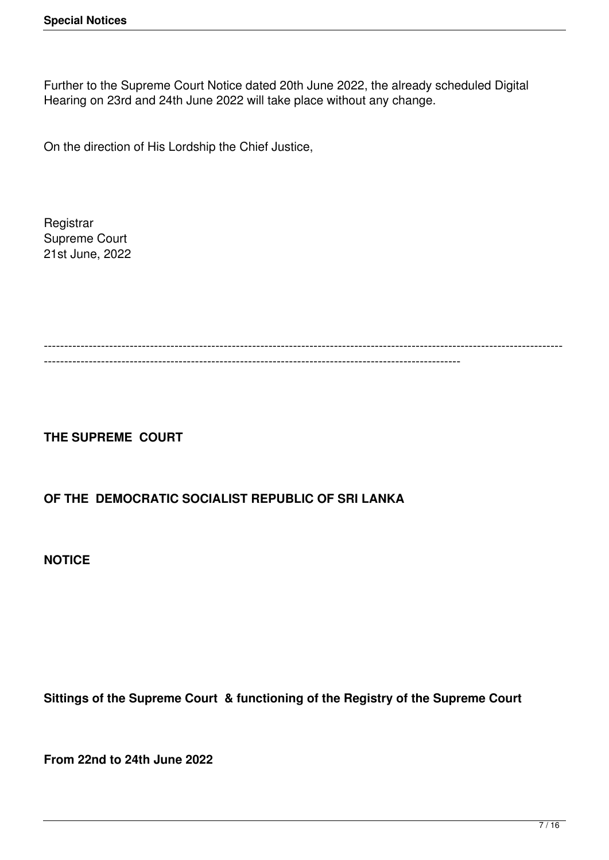Further to the Supreme Court Notice dated 20th June 2022, the already scheduled Digital Hearing on 23rd and 24th June 2022 will take place without any change.

On the direction of His Lordship the Chief Justice,

**Registrar** Supreme Court 21st June, 2022

------------------------------------------------------------------------------------------------------------------------------- ------------------------------------------------------------------------------------------------------

# **THE SUPREME COURT**

### **OF THE DEMOCRATIC SOCIALIST REPUBLIC OF SRI LANKA**

**NOTICE**

**Sittings of the Supreme Court & functioning of the Registry of the Supreme Court** 

**From 22nd to 24th June 2022**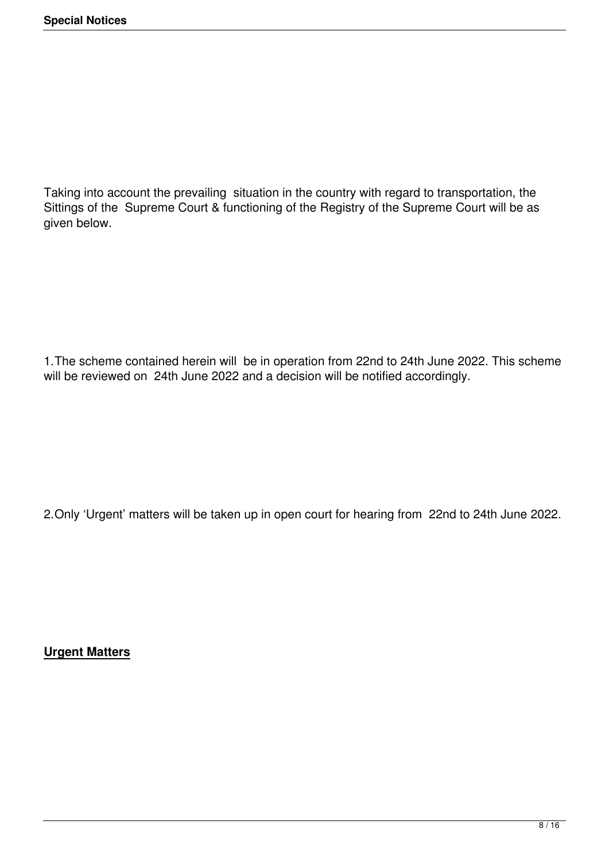Taking into account the prevailing situation in the country with regard to transportation, the Sittings of the Supreme Court & functioning of the Registry of the Supreme Court will be as given below.

1.The scheme contained herein will be in operation from 22nd to 24th June 2022. This scheme will be reviewed on 24th June 2022 and a decision will be notified accordingly.

2.Only 'Urgent' matters will be taken up in open court for hearing from 22nd to 24th June 2022.

**Urgent Matters**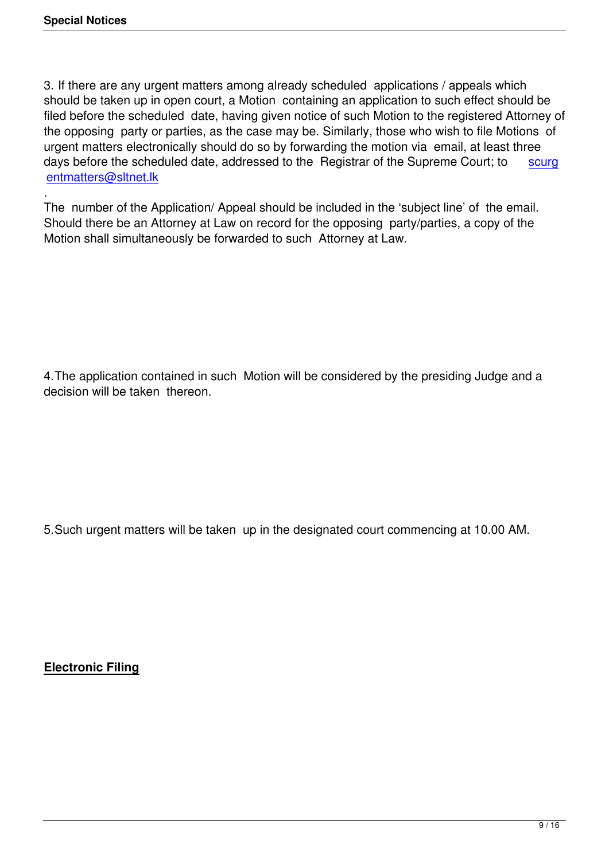3. If there are any urgent matters among already scheduled applications / appeals which should be taken up in open court, a Motion containing an application to such effect should be filed before the scheduled date, having given notice of such Motion to the registered Attorney of the opposing party or parties, as the case may be. Similarly, those who wish to file Motions of urgent matters electronically should do so by forwarding the motion via email, at least three days before the scheduled date, addressed to the Registrar of the Supreme Court; to scurg entmatters@sltnet.lk

. The number of the Application/ Appeal should be included in the 'subject line' of the em[ail.](mailto:scurgentmatters@sltnet.lk) [Should there be an A](mailto:scurgentmatters@sltnet.lk)ttorney at Law on record for the opposing party/parties, a copy of the Motion shall simultaneously be forwarded to such Attorney at Law.

4.The application contained in such Motion will be considered by the presiding Judge and a decision will be taken thereon.

5.Such urgent matters will be taken up in the designated court commencing at 10.00 AM.

**Electronic Filing**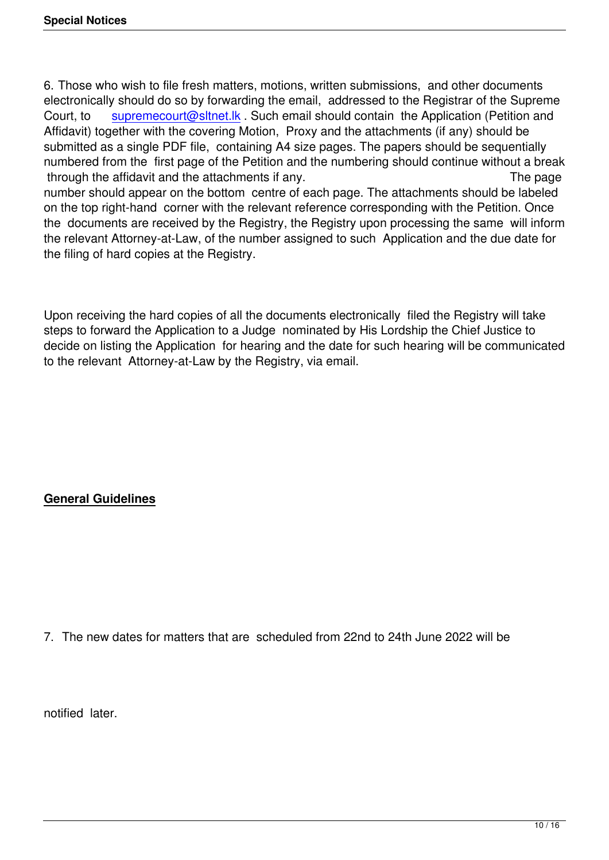6. Those who wish to file fresh matters, motions, written submissions, and other documents electronically should do so by forwarding the email, addressed to the Registrar of the Supreme Court, to supremecourt@sltnet.lk . Such email should contain the Application (Petition and Affidavit) together with the covering Motion, Proxy and the attachments (if any) should be submitted as a single PDF file, containing A4 size pages. The papers should be sequentially numbered fr[om the first page of the](mailto:supremecourt@sltnet.lk) Petition and the numbering should continue without a break through the affidavit and the attachments if any.

number should appear on the bottom centre of each page. The attachments should be labeled on the top right-hand corner with the relevant reference corresponding with the Petition. Once the documents are received by the Registry, the Registry upon processing the same will inform the relevant Attorney-at-Law, of the number assigned to such Application and the due date for the filing of hard copies at the Registry.

Upon receiving the hard copies of all the documents electronically filed the Registry will take steps to forward the Application to a Judge nominated by His Lordship the Chief Justice to decide on listing the Application for hearing and the date for such hearing will be communicated to the relevant Attorney-at-Law by the Registry, via email.

## **General Guidelines**

7. The new dates for matters that are scheduled from 22nd to 24th June 2022 will be

notified later.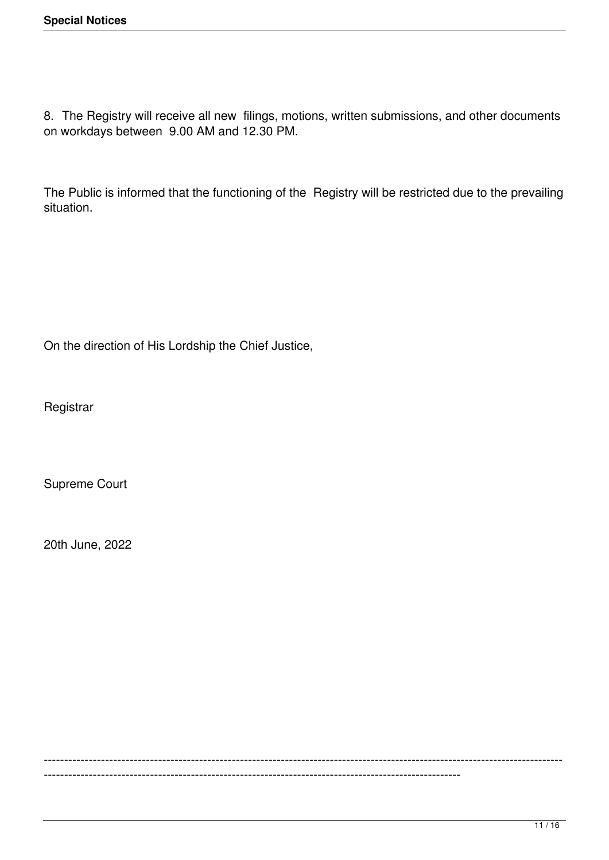8. The Registry will receive all new filings, motions, written submissions, and other documents on workdays between 9.00 AM and 12.30 PM.

The Public is informed that the functioning of the Registry will be restricted due to the prevailing situation.

On the direction of His Lordship the Chief Justice,

**Registrar** 

Supreme Court

20th June, 2022

------------------------------------------------------------------------------------------------------------------------------- ------------------------------------------------------------------------------------------------------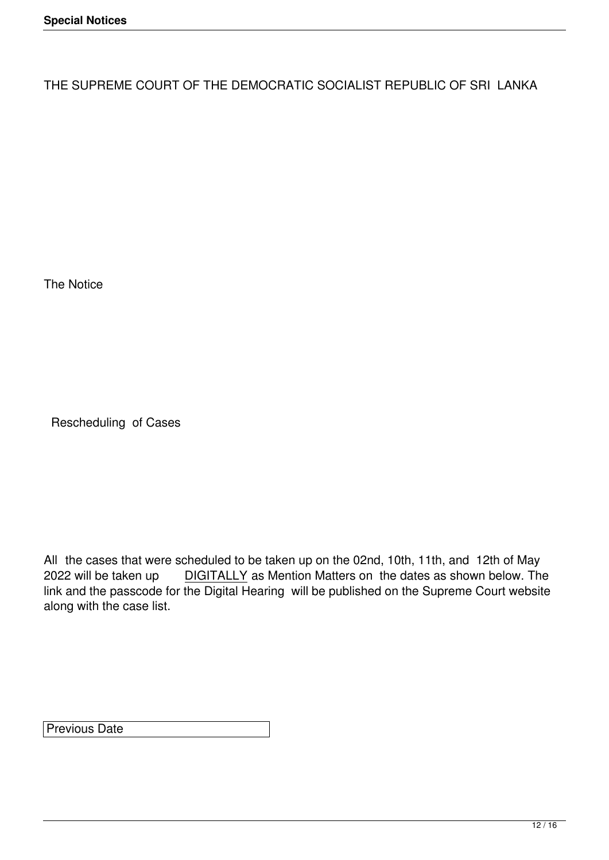THE SUPREME COURT OF THE DEMOCRATIC SOCIALIST REPUBLIC OF SRI LANKA

The Notice

Rescheduling of Cases

All the cases that were scheduled to be taken up on the 02nd, 10th, 11th, and 12th of May<br>2022 will be taken up DIGITALLY as Mention Matters on the dates as shown below. The DIGITALLY as Mention Matters on the dates as shown below. The link and the passcode for the Digital Hearing will be published on the Supreme Court website along with the case list.

Previous Date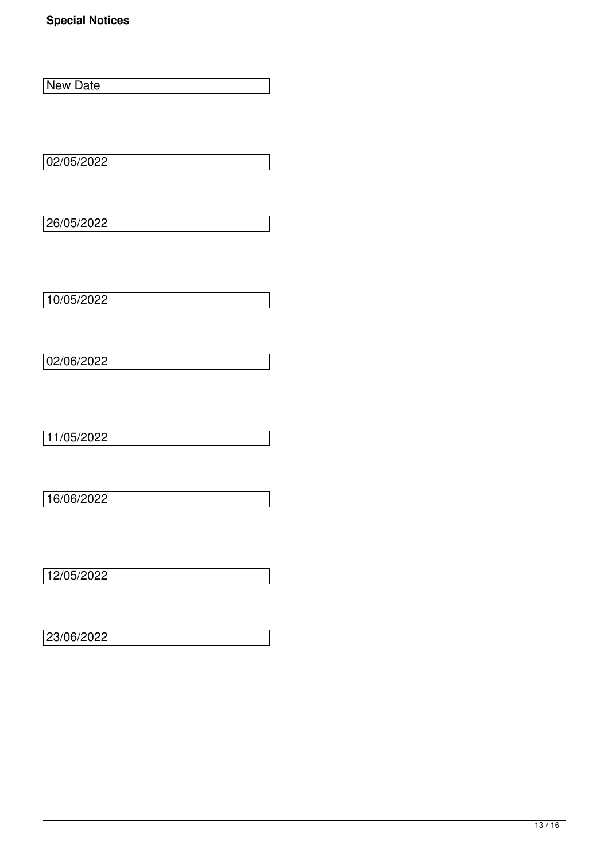**New Date** 

02/05/2022

26/05/2022

10/05/2022

 $02/06/2022$ 

11/05/2022

16/06/2022

12/05/2022

23/06/2022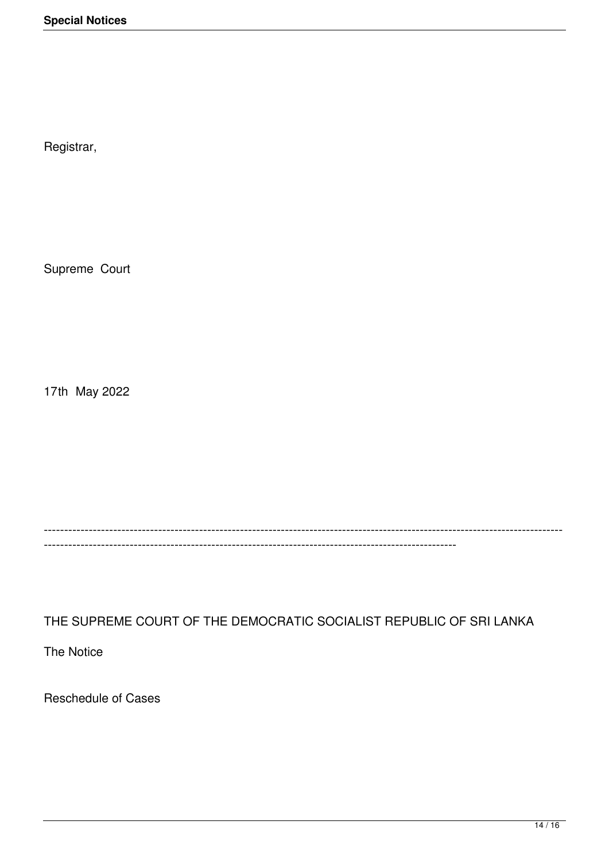Registrar,

Supreme Court

17th May 2022

------------------------------------------------------------------------------------------------------------------------------- -----------------------------------------------------------------------------------------------------

THE SUPREME COURT OF THE DEMOCRATIC SOCIALIST REPUBLIC OF SRI LANKA

The Notice

Reschedule of Cases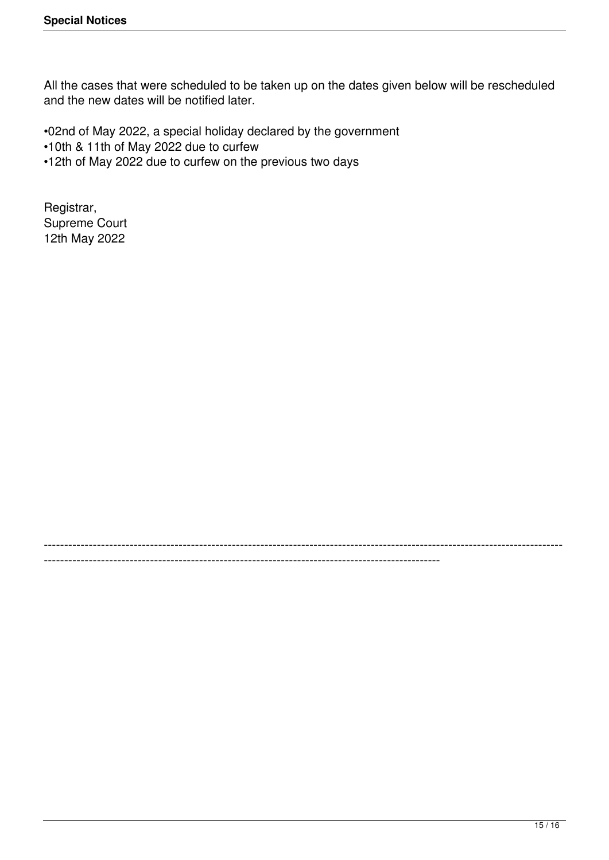All the cases that were scheduled to be taken up on the dates given below will be rescheduled and the new dates will be notified later.

-------------------------------------------------------------------------------------------------------------------------------

-------------------------------------------------------------------------------------------------

•02nd of May 2022, a special holiday declared by the government

•10th & 11th of May 2022 due to curfew

•12th of May 2022 due to curfew on the previous two days

Registrar, Supreme Court 12th May 2022